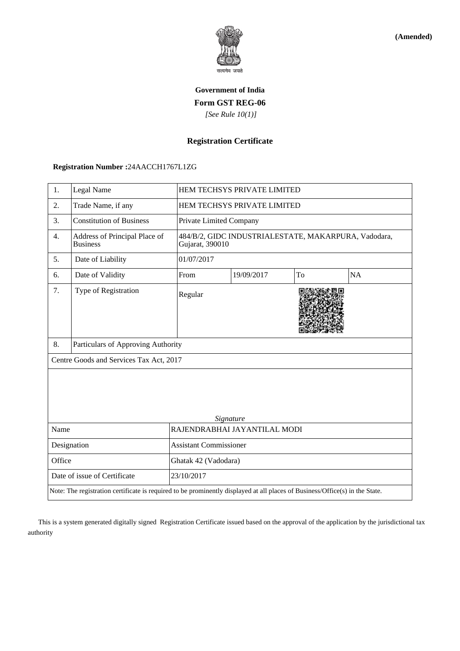

**(Amended)**

# **Government of India Form GST REG-06**  *[See Rule 10(1)]*

# **Registration Certificate**

### **Registration Number :**24AACCH1767L1ZG

| 1.                                                                                                                           | Legal Name                                       |                               | HEM TECHSYS PRIVATE LIMITED                                             |    |    |  |  |
|------------------------------------------------------------------------------------------------------------------------------|--------------------------------------------------|-------------------------------|-------------------------------------------------------------------------|----|----|--|--|
| 2.                                                                                                                           | Trade Name, if any                               |                               | HEM TECHSYS PRIVATE LIMITED                                             |    |    |  |  |
| 3.                                                                                                                           | <b>Constitution of Business</b>                  |                               | Private Limited Company                                                 |    |    |  |  |
| 4.                                                                                                                           | Address of Principal Place of<br><b>Business</b> |                               | 484/B/2, GIDC INDUSTRIALESTATE, MAKARPURA, Vadodara,<br>Gujarat, 390010 |    |    |  |  |
| 5.                                                                                                                           | Date of Liability                                | 01/07/2017                    |                                                                         |    |    |  |  |
| 6.                                                                                                                           | Date of Validity                                 | From                          | 19/09/2017                                                              | To | NA |  |  |
| 7.                                                                                                                           | Type of Registration                             | Regular                       |                                                                         |    |    |  |  |
| 8.                                                                                                                           | Particulars of Approving Authority               |                               |                                                                         |    |    |  |  |
|                                                                                                                              | Centre Goods and Services Tax Act, 2017          |                               |                                                                         |    |    |  |  |
| Signature                                                                                                                    |                                                  |                               |                                                                         |    |    |  |  |
| Name                                                                                                                         |                                                  |                               | RAJENDRABHAI JAYANTILAL MODI                                            |    |    |  |  |
| Designation                                                                                                                  |                                                  | <b>Assistant Commissioner</b> |                                                                         |    |    |  |  |
| Office                                                                                                                       |                                                  | Ghatak 42 (Vadodara)          |                                                                         |    |    |  |  |
| Date of issue of Certificate                                                                                                 |                                                  | 23/10/2017                    |                                                                         |    |    |  |  |
| Note: The registration certificate is required to be prominently displayed at all places of Business/Office(s) in the State. |                                                  |                               |                                                                         |    |    |  |  |

 This is a system generated digitally signed Registration Certificate issued based on the approval of the application by the jurisdictional tax authority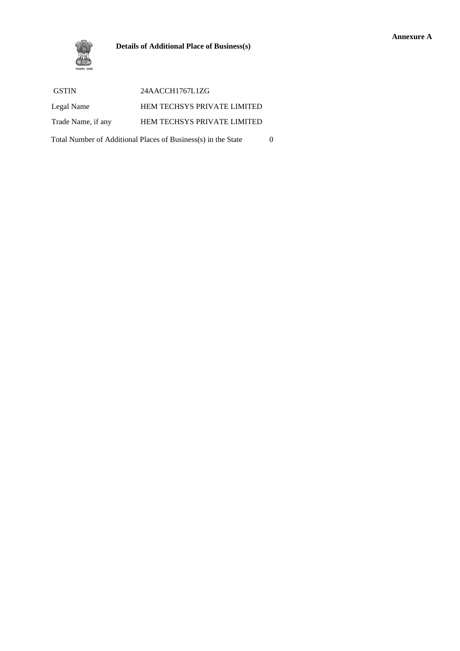#### **Details of Additional Place of Business(s)**



| <b>GSTIN</b>                                                  | 24AACCH1767L1ZG                    |  |  |  |
|---------------------------------------------------------------|------------------------------------|--|--|--|
| Legal Name                                                    | <b>HEM TECHSYS PRIVATE LIMITED</b> |  |  |  |
| Trade Name, if any                                            | <b>HEM TECHSYS PRIVATE LIMITED</b> |  |  |  |
| Total Number of Additional Places of Business(s) in the State |                                    |  |  |  |